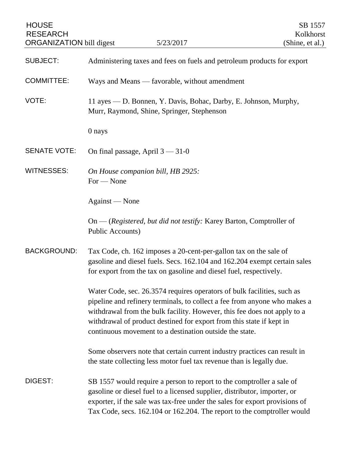| <b>HOUSE</b><br><b>RESEARCH</b><br><b>ORGANIZATION</b> bill digest |                                                                                                                                                                                                                                                                                                                                                                     | 5/23/2017                                                                                                                                                                                                                                                                                                    | SB 1557<br>Kolkhorst<br>(Shine, et al.) |
|--------------------------------------------------------------------|---------------------------------------------------------------------------------------------------------------------------------------------------------------------------------------------------------------------------------------------------------------------------------------------------------------------------------------------------------------------|--------------------------------------------------------------------------------------------------------------------------------------------------------------------------------------------------------------------------------------------------------------------------------------------------------------|-----------------------------------------|
| <b>SUBJECT:</b>                                                    | Administering taxes and fees on fuels and petroleum products for export                                                                                                                                                                                                                                                                                             |                                                                                                                                                                                                                                                                                                              |                                         |
| <b>COMMITTEE:</b>                                                  | Ways and Means - favorable, without amendment                                                                                                                                                                                                                                                                                                                       |                                                                                                                                                                                                                                                                                                              |                                         |
| VOTE:                                                              | 11 ayes — D. Bonnen, Y. Davis, Bohac, Darby, E. Johnson, Murphy,<br>Murr, Raymond, Shine, Springer, Stephenson                                                                                                                                                                                                                                                      |                                                                                                                                                                                                                                                                                                              |                                         |
|                                                                    | 0 nays                                                                                                                                                                                                                                                                                                                                                              |                                                                                                                                                                                                                                                                                                              |                                         |
| <b>SENATE VOTE:</b>                                                | On final passage, April $3 - 31 - 0$                                                                                                                                                                                                                                                                                                                                |                                                                                                                                                                                                                                                                                                              |                                         |
| <b>WITNESSES:</b>                                                  | On House companion bill, HB 2925:<br>$For - None$                                                                                                                                                                                                                                                                                                                   |                                                                                                                                                                                                                                                                                                              |                                         |
|                                                                    | Against — None                                                                                                                                                                                                                                                                                                                                                      |                                                                                                                                                                                                                                                                                                              |                                         |
|                                                                    | <b>Public Accounts)</b>                                                                                                                                                                                                                                                                                                                                             | On — (Registered, but did not testify: Karey Barton, Comptroller of                                                                                                                                                                                                                                          |                                         |
| <b>BACKGROUND:</b>                                                 | Tax Code, ch. 162 imposes a 20-cent-per-gallon tax on the sale of<br>gasoline and diesel fuels. Secs. 162.104 and 162.204 exempt certain sales<br>for export from the tax on gasoline and diesel fuel, respectively.                                                                                                                                                |                                                                                                                                                                                                                                                                                                              |                                         |
|                                                                    | Water Code, sec. 26.3574 requires operators of bulk facilities, such as<br>pipeline and refinery terminals, to collect a fee from anyone who makes a<br>withdrawal from the bulk facility. However, this fee does not apply to a<br>withdrawal of product destined for export from this state if kept in<br>continuous movement to a destination outside the state. |                                                                                                                                                                                                                                                                                                              |                                         |
|                                                                    |                                                                                                                                                                                                                                                                                                                                                                     | Some observers note that certain current industry practices can result in<br>the state collecting less motor fuel tax revenue than is legally due.                                                                                                                                                           |                                         |
| DIGEST:                                                            |                                                                                                                                                                                                                                                                                                                                                                     | SB 1557 would require a person to report to the comptroller a sale of<br>gasoline or diesel fuel to a licensed supplier, distributor, importer, or<br>exporter, if the sale was tax-free under the sales for export provisions of<br>Tax Code, secs. 162.104 or 162.204. The report to the comptroller would |                                         |